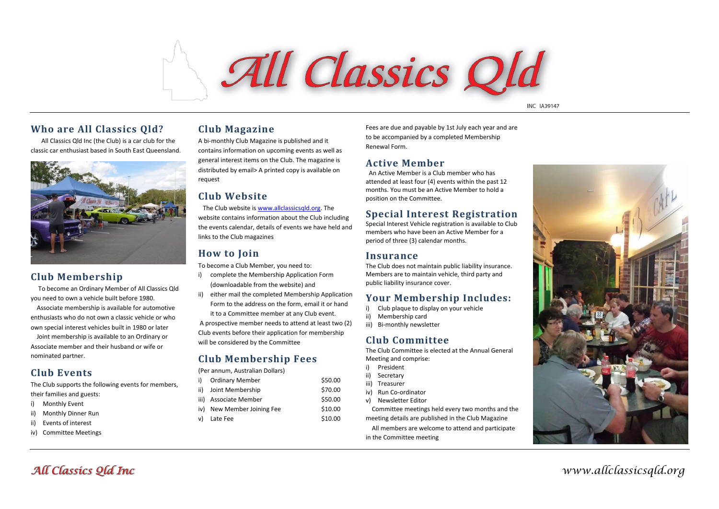# All Classics Old

**INC 1A39147** 

### **Who are All Classics Qld?**

 All Classics Qld Inc (the Club) is a car club for the classic car enthusiast based in South East Queensland.



# **Club Membership**

To become an Ordinary Member of All Classics Qld you need to own a vehicle built before 1980.

Associate membership is available for automotive enthusiasts who do not own a classic vehicle or who own special interest vehicles built in 1980 or later

Joint membership is available to an Ordinary or Associate member and their husband or wife or nominated partner.

# **Club Events**

The Club supports the following events for members, their families and guests:

- i) Monthly Event
- ii) Monthly Dinner Run
- ii) Events of interest
- iv) Committee Meetings

## **Club Magazine**

A bi-monthly Club Magazine is published and it contains information on upcoming events as well as general interest items on the Club. The magazine is distributed by email> A printed copy is available on request

## **Club Website**

The Club website is www.allclassicsald.org. The website contains information about the Club including the events calendar, details of events we have held and links to the Club magazines

## **How to Join**

To become a Club Member, you need to:

- i) complete the Membership Application Form (downloadable from the website) and
- ii) either mail the completed Membership Application Form to the address on the form, email it or hand it to a Committee member at any Club event.

A prospective member needs to attend at least two (2) Club events before their application for membership will be considered by the Committee

## **Club Membership Fees**

(Per annum, Australian Dollars)

| <b>Ordinary Member</b>     | \$50.00 |
|----------------------------|---------|
| Joint Membership           | \$70.00 |
| Associate Member           | \$50.00 |
| iv) New Member Joining Fee | \$10.00 |
| Late Fee                   | \$10.00 |
|                            |         |

Fees are due and payable by 1st July each year and are to be accompanied by a completed Membership Renewal Form.

## **Active Member**

 An Active Member is a Club member who has attended at least four (4) events within the past 12 months. You must be an Active Member to hold a position on the Committee.

# **Special Interest Registration**

Special Interest Vehicle registration is available to Club members who have been an Active Member for a period of three (3) calendar months.

### **Insurance**

The Club does not maintain public liability insurance. Members are to maintain vehicle, third party and public liability insurance cover.

## **Your Membership Includes:**

- i) Club plaque to display on your vehicle
- ii) Membership card
- iii) Bi-monthly newsletter

## **Club Committee**

The Club Committee is elected at the Annual General Meeting and comprise:

- i) President
- ii) Secretary
- iii) Treasurer
- iv) Run Co-ordinator
- v) Newsletter Editor

Committee meetings held every two months and the meeting details are published in the Club Magazine

All members are welcome to attend and participate in the Committee meeting



*www.allclassicsqld.org*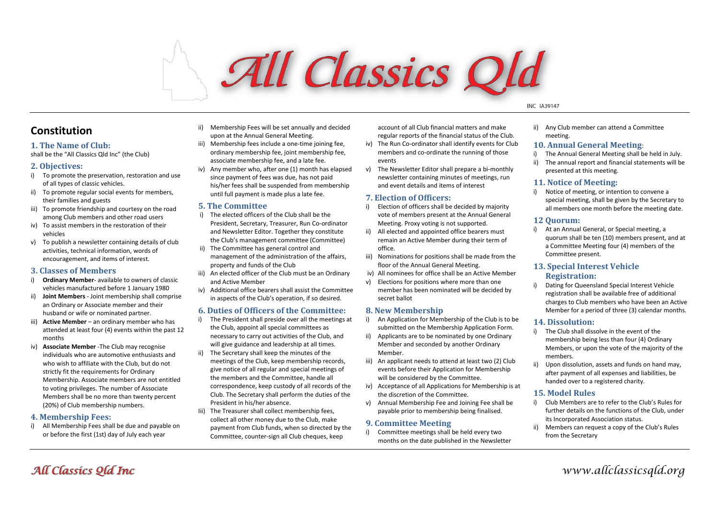# All Classics Old

#### **INC IA39147**

# **Constitution**

#### **1. The Name of Club:**

shall be the "All Classics Qld Inc" (the Club)

#### **2. Objectives:**

- i) To promote the preservation, restoration and use of all types of classic vehicles.
- ii) To promote regular social events for members, their families and guests
- iii) To promote friendship and courtesy on the road among Club members and other road users
- iv) To assist members in the restoration of their vehicles
- v) To publish a newsletter containing details of club activities, technical information, words of encouragement, and items of interest.

#### **3. Classes of Members**

- i) **Ordinary Member** available to owners of classic vehicles manufactured before 1 January 1980
- ii) **Joint Members** Joint membership shall comprise an Ordinary or Associate member and their husband or wife or nominated partner.
- iii) **Active Member** an ordinary member who has attended at least four (4) events within the past 12 months
- iv) **Associate Member** -The Club may recognise individuals who are automotive enthusiasts and who wish to affiliate with the Club, but do not strictly fit the requirements for Ordinary Membership. Associate members are not entitled to voting privileges. The number of Associate Members shall be no more than twenty percent (20%) of Club membership numbers.

#### **4. Membership Fees:**

i) All Membership Fees shall be due and payable on or before the first (1st) day of July each year

- ii) Membership Fees will be set annually and decided upon at the Annual General Meeting.
- iii) Membership fees include a one-time joining fee. ordinary membership fee, joint membership fee, associate membership fee, and a late fee.
- iv) Any member who, after one (1) month has elapsed since payment of fees was due, has not paid his/her fees shall be suspended from membership until full payment is made plus a late fee.

#### **5. The Committee**

- i) The elected officers of the Club shall be the President, Secretary, Treasurer, Run Co-ordinator and Newsletter Editor. Together they constitute the Club's management committee (Committee)
- ii) The Committee has general control and management of the administration of the affairs, property and funds of the Club
- iii) An elected officer of the Club must be an Ordinary and Active Member
- iv) Additional office bearers shall assist the Committee in aspects of the Club's operation, if so desired.

#### **6. Duties of Officers of the Committee:**

- i) The President shall preside over all the meetings at the Club, appoint all special committees as necessary to carry out activities of the Club, and will give guidance and leadership at all times.
- ii) The Secretary shall keep the minutes of the meetings of the Club, keep membership records, give notice of all regular and special meetings of the members and the Committee, handle all correspondence, keep custody of all records of the Club. The Secretary shall perform the duties of the President in his/her absence.
- Iii) The Treasurer shall collect membership fees, collect all other money due to the Club, make payment from Club funds, when so directed by the Committee, counter-sign all Club cheques, keep

account of all Club financial matters and make regular reports of the financial status of the Club.

- iv) The Run Co-ordinator shall identify events for Club members and co-ordinate the running of those events
- v) The Newsletter Editor shall prepare a bi-monthly newsletter containing minutes of meetings, run and event details and items of interest

#### **7. Election of Officers:**

- i) Election of officers shall be decided by majority vote of members present at the Annual General Meeting. Proxy voting is not supported.
- ii) All elected and appointed office bearers must remain an Active Member during their term of office.
- iii) Nominations for positions shall be made from the floor of the Annual General Meeting.
- iv) All nominees for office shall be an Active Member
	- v) Elections for positions where more than one member has been nominated will be decided by secret ballot

#### **8. New Membership**

- i) An Application for Membership of the Club is to be submitted on the Membership Application Form.
- ii) Applicants are to be nominated by one Ordinary Member and seconded by another Ordinary Member.
- iii) An applicant needs to attend at least two (2) Club events before their Application for Membership will be considered by the Committee.
- iv) Acceptance of all Applications for Membership is at the discretion of the Committee.
- v) Annual Membership Fee and Joining Fee shall be payable prior to membership being finalised.

#### **9. Committee Meeting**

i) Committee meetings shall be held every two months on the date published in the Newsletter ii) Any Club member can attend a Committee meeting.

#### **10. Annual General Meeting**:

- i) The Annual General Meeting shall be held in July.
- ii) The annual report and financial statements will be presented at this meeting.

#### **11. Notice of Meeting:**

i) Notice of meeting, or intention to convene a special meeting, shall be given by the Secretary to all members one month before the meeting date.

#### **12 Quorum:**

i) At an Annual General, or Special meeting, a quorum shall be ten (10) members present, and at a Committee Meeting four (4) members of the Committee present.

#### **13. Special Interest Vehicle Registration:**

i) Dating for Queensland Special Interest Vehicle registration shall be available free of additional charges to Club members who have been an Active Member for a period of three (3) calendar months.

#### **14. Dissolution:**

- i) The Club shall dissolve in the event of the membership being less than four (4) Ordinary Members, or upon the vote of the majority of the members.
- ii) Upon dissolution, assets and funds on hand may, after payment of all expenses and liabilities, be handed over to a registered charity.

#### **15. Model Rules**

- i) Club Members are to refer to the Club's Rules for further details on the functions of the Club, under its Incorporated Association status.
- ii) Members can request a copy of the Club's Rules from the Secretary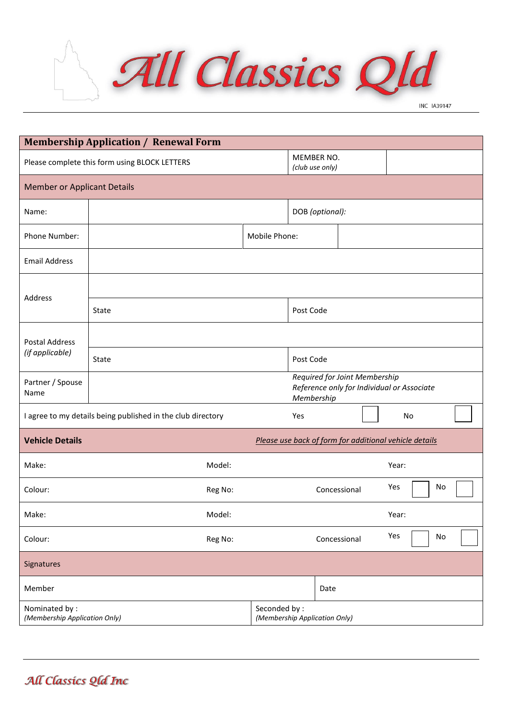

|                                                             | <b>Membership Application / Renewal Form</b>                                              |         |              |                                                        |              |       |    |  |
|-------------------------------------------------------------|-------------------------------------------------------------------------------------------|---------|--------------|--------------------------------------------------------|--------------|-------|----|--|
|                                                             | Please complete this form using BLOCK LETTERS                                             |         |              | MEMBER NO.<br>(club use only)                          |              |       |    |  |
| <b>Member or Applicant Details</b>                          |                                                                                           |         |              |                                                        |              |       |    |  |
| Name:                                                       |                                                                                           |         |              | DOB (optional):                                        |              |       |    |  |
| Phone Number:                                               | Mobile Phone:                                                                             |         |              |                                                        |              |       |    |  |
| <b>Email Address</b>                                        |                                                                                           |         |              |                                                        |              |       |    |  |
|                                                             |                                                                                           |         |              |                                                        |              |       |    |  |
| Address                                                     | State                                                                                     |         |              | Post Code                                              |              |       |    |  |
| <b>Postal Address</b><br>(if applicable)                    |                                                                                           |         |              |                                                        |              |       |    |  |
|                                                             | State                                                                                     |         |              | Post Code                                              |              |       |    |  |
| Partner / Spouse<br>Name                                    | Required for Joint Membership<br>Reference only for Individual or Associate<br>Membership |         |              |                                                        |              |       |    |  |
| I agree to my details being published in the club directory |                                                                                           |         | Yes          |                                                        |              | No    |    |  |
| <b>Vehicle Details</b>                                      |                                                                                           |         |              | Please use back of form for additional vehicle details |              |       |    |  |
| Make:                                                       |                                                                                           | Model:  |              |                                                        |              | Year: |    |  |
| Colour:                                                     |                                                                                           | Reg No: |              |                                                        | Concessional | Yes   | No |  |
| Make:                                                       |                                                                                           | Model:  |              |                                                        |              | Year: |    |  |
| Colour:                                                     |                                                                                           | Reg No: |              |                                                        | Concessional | Yes   | No |  |
| Signatures                                                  |                                                                                           |         |              |                                                        |              |       |    |  |
| Member                                                      |                                                                                           |         |              | Date                                                   |              |       |    |  |
| Nominated by:<br>(Membership Application Only)              |                                                                                           |         | Seconded by: | (Membership Application Only)                          |              |       |    |  |